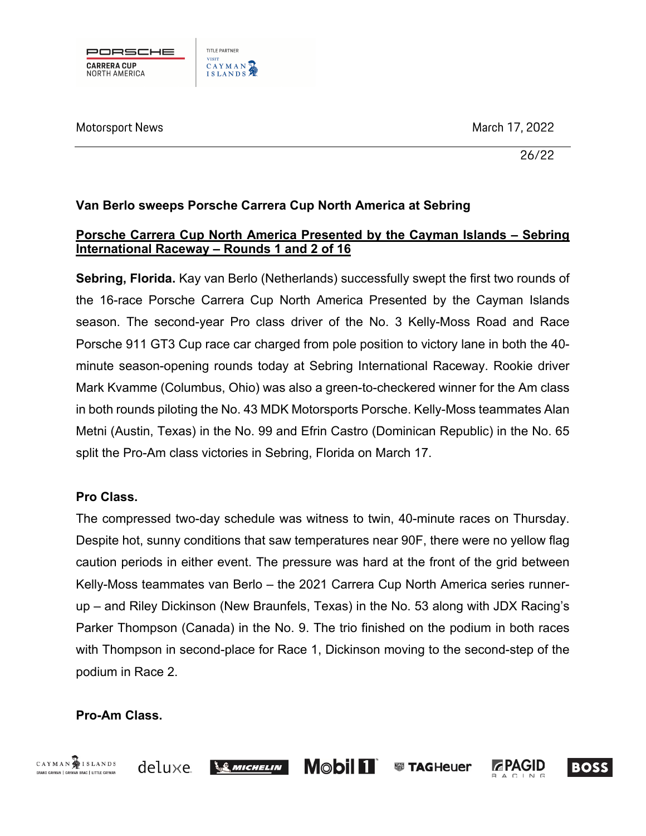

Motorsport News 2022

26/22

## **Van Berlo sweeps Porsche Carrera Cup North America at Sebring**

### **Porsche Carrera Cup North America Presented by the Cayman Islands – Sebring International Raceway – Rounds 1 and 2 of 16**

**Sebring, Florida.** Kay van Berlo (Netherlands) successfully swept the first two rounds of the 16-race Porsche Carrera Cup North America Presented by the Cayman Islands season. The second-year Pro class driver of the No. 3 Kelly-Moss Road and Race Porsche 911 GT3 Cup race car charged from pole position to victory lane in both the 40 minute season-opening rounds today at Sebring International Raceway. Rookie driver Mark Kvamme (Columbus, Ohio) was also a green-to-checkered winner for the Am class in both rounds piloting the No. 43 MDK Motorsports Porsche. Kelly-Moss teammates Alan Metni (Austin, Texas) in the No. 99 and Efrin Castro (Dominican Republic) in the No. 65 split the Pro-Am class victories in Sebring, Florida on March 17.

# **Pro Class.**

The compressed two-day schedule was witness to twin, 40-minute races on Thursday. Despite hot, sunny conditions that saw temperatures near 90F, there were no yellow flag caution periods in either event. The pressure was hard at the front of the grid between Kelly-Moss teammates van Berlo – the 2021 Carrera Cup North America series runnerup – and Riley Dickinson (New Braunfels, Texas) in the No. 53 along with JDX Racing's Parker Thompson (Canada) in the No. 9. The trio finished on the podium in both races with Thompson in second-place for Race 1, Dickinson moving to the second-step of the podium in Race 2.

# **Pro-Am Class.**

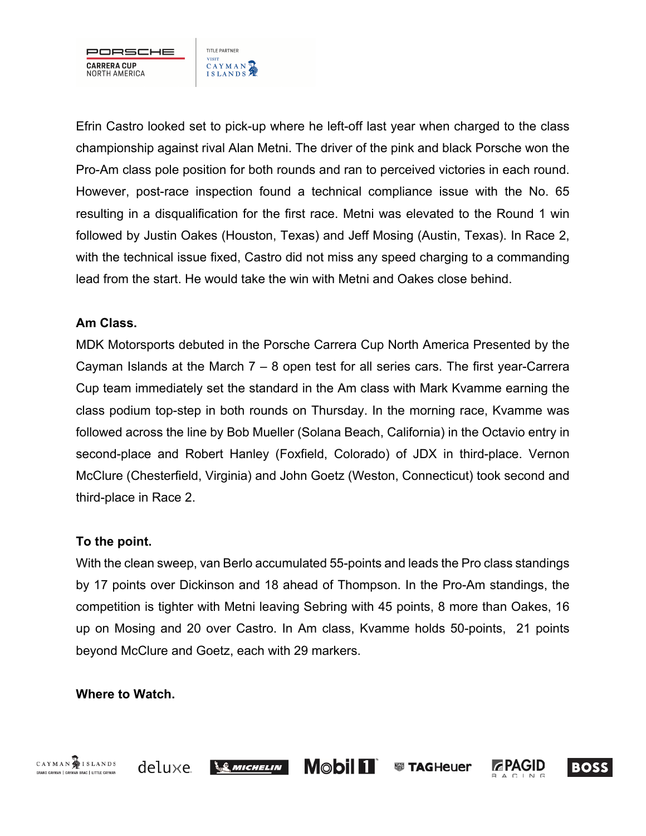

TITLE PARTNER VISIT<br>CAYMAN

Efrin Castro looked set to pick-up where he left-off last year when charged to the class championship against rival Alan Metni. The driver of the pink and black Porsche won the Pro-Am class pole position for both rounds and ran to perceived victories in each round. However, post-race inspection found a technical compliance issue with the No. 65 resulting in a disqualification for the first race. Metni was elevated to the Round 1 win followed by Justin Oakes (Houston, Texas) and Jeff Mosing (Austin, Texas). In Race 2, with the technical issue fixed, Castro did not miss any speed charging to a commanding lead from the start. He would take the win with Metni and Oakes close behind.

## **Am Class.**

MDK Motorsports debuted in the Porsche Carrera Cup North America Presented by the Cayman Islands at the March 7 – 8 open test for all series cars. The first year-Carrera Cup team immediately set the standard in the Am class with Mark Kvamme earning the class podium top-step in both rounds on Thursday. In the morning race, Kvamme was followed across the line by Bob Mueller (Solana Beach, California) in the Octavio entry in second-place and Robert Hanley (Foxfield, Colorado) of JDX in third-place. Vernon McClure (Chesterfield, Virginia) and John Goetz (Weston, Connecticut) took second and third-place in Race 2.

#### **To the point.**

With the clean sweep, van Berlo accumulated 55-points and leads the Pro class standings by 17 points over Dickinson and 18 ahead of Thompson. In the Pro-Am standings, the competition is tighter with Metni leaving Sebring with 45 points, 8 more than Oakes, 16 up on Mosing and 20 over Castro. In Am class, Kvamme holds 50-points, 21 points beyond McClure and Goetz, each with 29 markers.

#### **Where to Watch.**

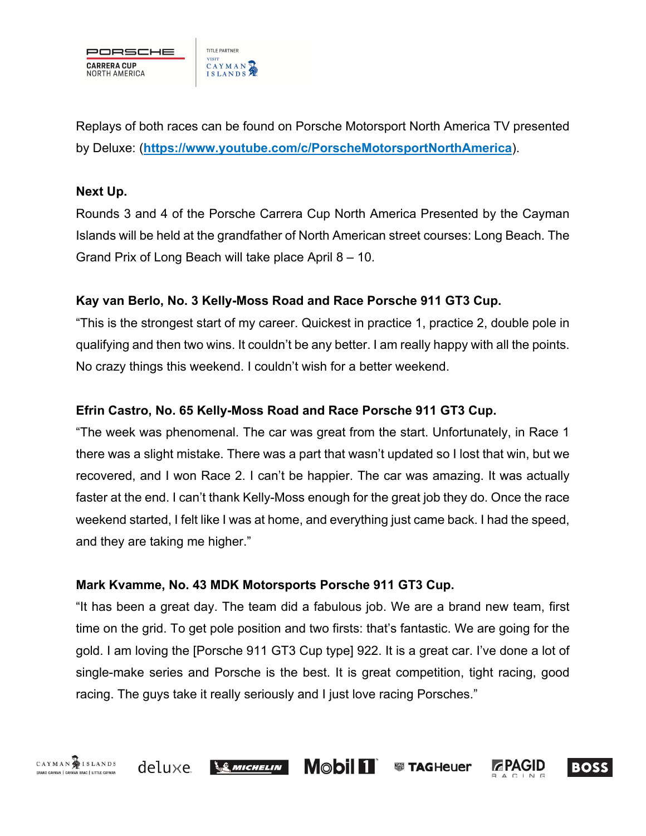

Replays of both races can be found on Porsche Motorsport North America TV presented by Deluxe: (**https://www.youtube.com/c/PorscheMotorsportNorthAmerica**).

#### **Next Up.**

Rounds 3 and 4 of the Porsche Carrera Cup North America Presented by the Cayman Islands will be held at the grandfather of North American street courses: Long Beach. The Grand Prix of Long Beach will take place April 8 – 10.

## **Kay van Berlo, No. 3 Kelly-Moss Road and Race Porsche 911 GT3 Cup.**

"This is the strongest start of my career. Quickest in practice 1, practice 2, double pole in qualifying and then two wins. It couldn't be any better. I am really happy with all the points. No crazy things this weekend. I couldn't wish for a better weekend.

## **Efrin Castro, No. 65 Kelly-Moss Road and Race Porsche 911 GT3 Cup.**

"The week was phenomenal. The car was great from the start. Unfortunately, in Race 1 there was a slight mistake. There was a part that wasn't updated so I lost that win, but we recovered, and I won Race 2. I can't be happier. The car was amazing. It was actually faster at the end. I can't thank Kelly-Moss enough for the great job they do. Once the race weekend started, I felt like I was at home, and everything just came back. I had the speed, and they are taking me higher."

#### **Mark Kvamme, No. 43 MDK Motorsports Porsche 911 GT3 Cup.**

"It has been a great day. The team did a fabulous job. We are a brand new team, first time on the grid. To get pole position and two firsts: that's fantastic. We are going for the gold. I am loving the [Porsche 911 GT3 Cup type] 922. It is a great car. I've done a lot of single-make series and Porsche is the best. It is great competition, tight racing, good racing. The guys take it really seriously and I just love racing Porsches."

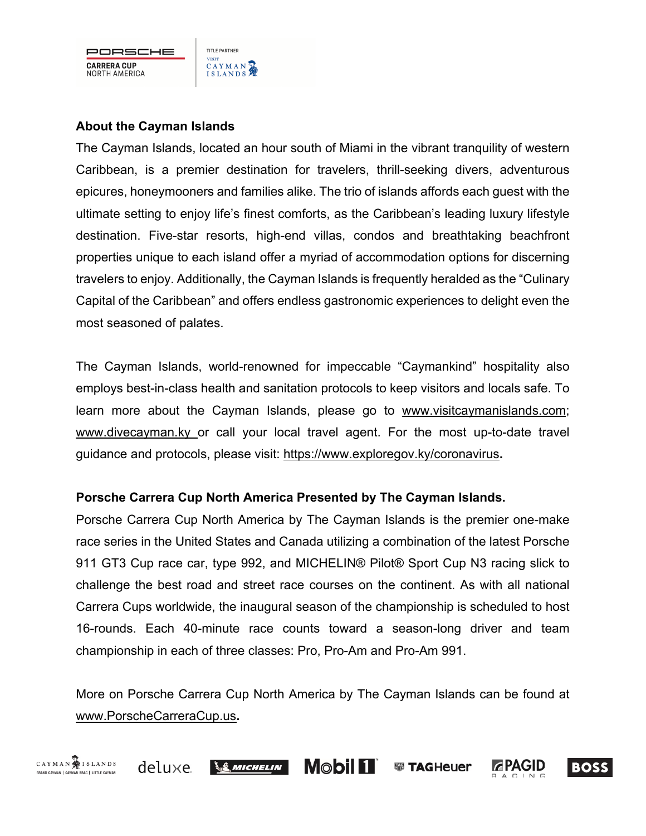

## **About the Cayman Islands**

The Cayman Islands, located an hour south of Miami in the vibrant tranquility of western Caribbean, is a premier destination for travelers, thrill-seeking divers, adventurous epicures, honeymooners and families alike. The trio of islands affords each guest with the ultimate setting to enjoy life's finest comforts, as the Caribbean's leading luxury lifestyle destination. Five-star resorts, high-end villas, condos and breathtaking beachfront properties unique to each island offer a myriad of accommodation options for discerning travelers to enjoy. Additionally, the Cayman Islands is frequently heralded as the "Culinary Capital of the Caribbean" and offers endless gastronomic experiences to delight even the most seasoned of palates.

The Cayman Islands, world-renowned for impeccable "Caymankind" hospitality also employs best-in-class health and sanitation protocols to keep visitors and locals safe. To learn more about the Cayman Islands, please go to www.visitcaymanislands.com; www.divecayman.ky or call your local travel agent. For the most up-to-date travel guidance and protocols, please visit: https://www.exploregov.ky/coronavirus**.**

#### **Porsche Carrera Cup North America Presented by The Cayman Islands.**

Porsche Carrera Cup North America by The Cayman Islands is the premier one-make race series in the United States and Canada utilizing a combination of the latest Porsche 911 GT3 Cup race car, type 992, and MICHELIN® Pilot® Sport Cup N3 racing slick to challenge the best road and street race courses on the continent. As with all national Carrera Cups worldwide, the inaugural season of the championship is scheduled to host 16-rounds. Each 40-minute race counts toward a season-long driver and team championship in each of three classes: Pro, Pro-Am and Pro-Am 991.

More on Porsche Carrera Cup North America by The Cayman Islands can be found at www.PorscheCarreraCup.us**.**